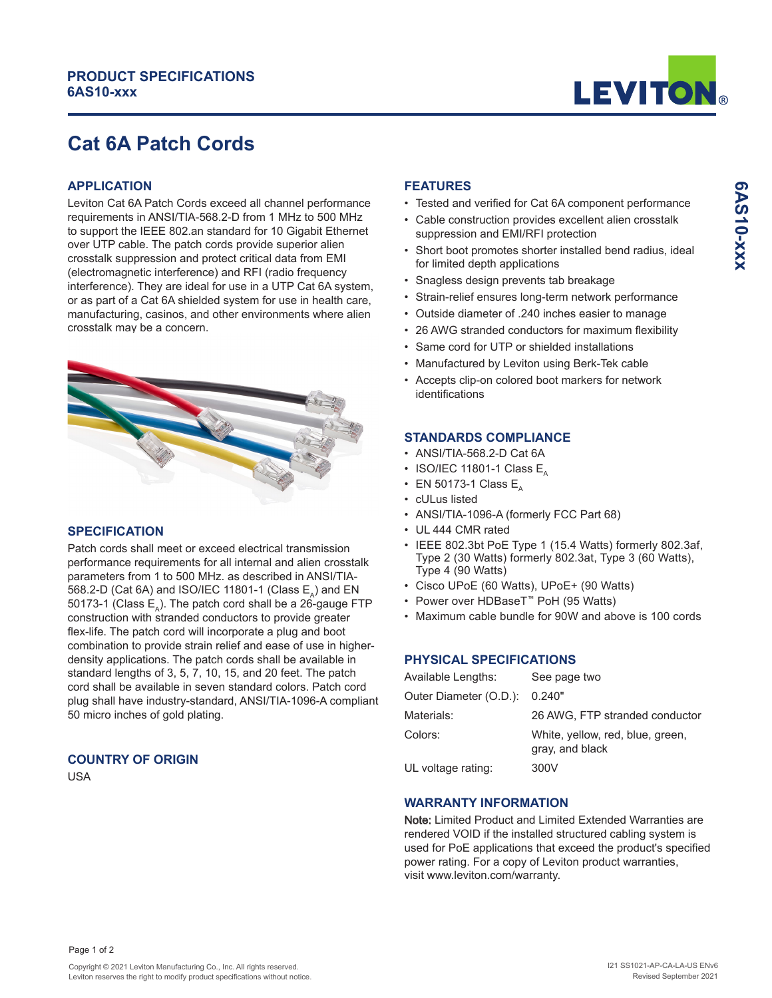# **PRODUCT SPECIFICATIONS 6AS10-xxx**



**6AS10-xxx**

SAS10-xxx

# **Cat 6A Patch Cords**

# **APPLICATION**

Leviton Cat 6A Patch Cords exceed all channel performance requirements in ANSI/TIA-568.2-D from 1 MHz to 500 MHz to support the IEEE 802.an standard for 10 Gigabit Ethernet over UTP cable. The patch cords provide superior alien crosstalk suppression and protect critical data from EMI (electromagnetic interference) and RFI (radio frequency interference). They are ideal for use in a UTP Cat 6A system, or as part of a Cat 6A shielded system for use in health care, manufacturing, casinos, and other environments where alien crosstalk may be a concern.



### **SPECIFICATION**

Patch cords shall meet or exceed electrical transmission performance requirements for all internal and alien crosstalk parameters from 1 to 500 MHz. as described in ANSI/TIA-568.2-D (Cat 6A) and ISO/IEC 11801-1 (Class E<sub>^</sub>) and EN 50173-1 (Class  $E_{\lambda}$ ). The patch cord shall be a 26-gauge FTP construction with stranded conductors to provide greater flex-life. The patch cord will incorporate a plug and boot combination to provide strain relief and ease of use in higherdensity applications. The patch cords shall be available in standard lengths of 3, 5, 7, 10, 15, and 20 feet. The patch cord shall be available in seven standard colors. Patch cord plug shall have industry-standard, ANSI/TIA-1096-A compliant 50 micro inches of gold plating.

#### **COUNTRY OF ORIGIN**

USA

# **FEATURES**

- Tested and verified for Cat 6A component performance
- Cable construction provides excellent alien crosstalk suppression and EMI/RFI protection
- Short boot promotes shorter installed bend radius, ideal for limited depth applications
- Snagless design prevents tab breakage
- Strain-relief ensures long-term network performance
- Outside diameter of .240 inches easier to manage
- 26 AWG stranded conductors for maximum flexibility
- Same cord for UTP or shielded installations
- Manufactured by Leviton using Berk-Tek cable
- Accepts clip-on colored boot markers for network identifications

#### **STANDARDS COMPLIANCE**

- ANSI/TIA-568.2-D Cat 6A
- ISO/IEC 11801-1 Class  $E<sub>n</sub>$
- EN 50173-1 Class  $E_{\Lambda}$
- cULus listed
- ANSI/TIA-1096-A (formerly FCC Part 68)
- UL 444 CMR rated
- IEEE 802.3bt PoE Type 1 (15.4 Watts) formerly 802.3af, Type 2 (30 Watts) formerly 802.3at, Type 3 (60 Watts), Type 4 (90 Watts)
- Cisco UPoE (60 Watts), UPoE+ (90 Watts)
- Power over HDBaseT™ PoH (95 Watts)
- Maximum cable bundle for 90W and above is 100 cords

### **PHYSICAL SPECIFICATIONS**

| Available Lengths:     | See page two                                        |
|------------------------|-----------------------------------------------------|
| Outer Diameter (O.D.): | 0.240"                                              |
| Materials:             | 26 AWG, FTP stranded conductor                      |
| Colors:                | White, yellow, red, blue, green,<br>gray, and black |
| UL voltage rating:     | 300V                                                |

#### **WARRANTY INFORMATION**

Note: Limited Product and Limited Extended Warranties are rendered VOID if the installed structured cabling system is used for PoE applications that exceed the product's specified power rating. For a copy of Leviton product warranties, visit www.leviton.com/warranty.